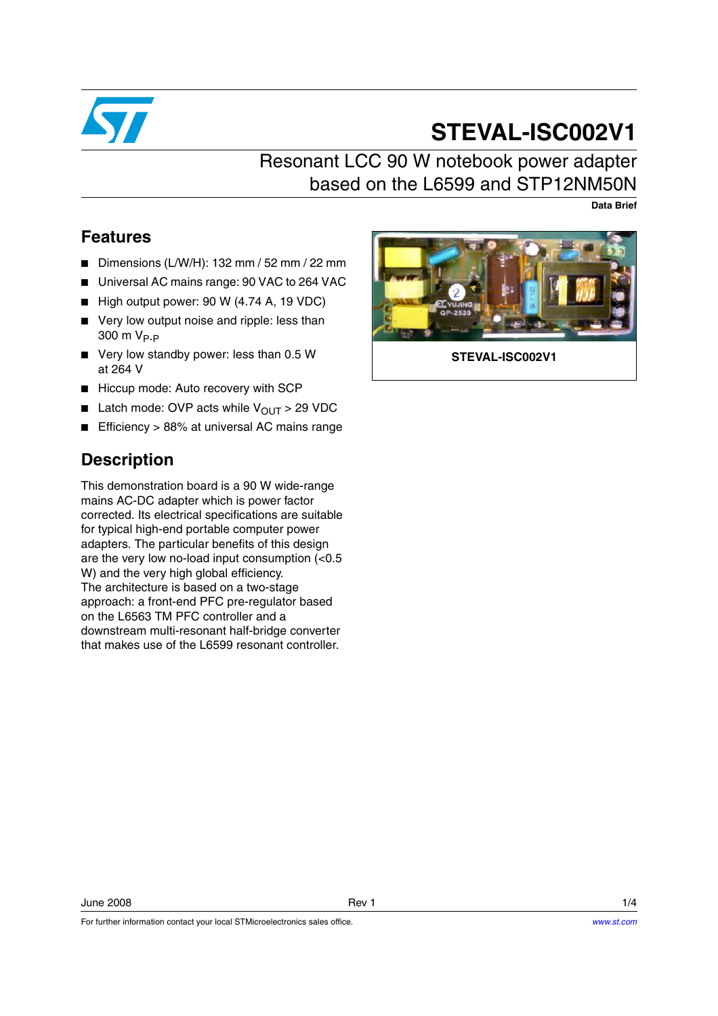

# **STEVAL-ISC002V1**

## Resonant LCC 90 W notebook power adapter based on the L6599 and STP12NM50N

**Data Brief**

### **Features**

- Dimensions (L/W/H): 132 mm / 52 mm / 22 mm
- Universal AC mains range: 90 VAC to 264 VAC
- High output power: 90 W (4.74 A, 19 VDC)
- Very low output noise and ripple: less than  $300 \text{ m V}_{\text{P-P}}$
- Very low standby power: less than 0.5 W at 264 V
- Hiccup mode: Auto recovery with SCP
- **■** Latch mode: OVP acts while  $V_{\text{OUT}} > 29 \text{ VDC}$
- Efficiency > 88% at universal AC mains range

### **Description**

This demonstration board is a 90 W wide-range mains AC-DC adapter which is power factor corrected. Its electrical specifications are suitable for typical high-end portable computer power adapters. The particular benefits of this design are the very low no-load input consumption (<0.5 W) and the very high global efficiency. The architecture is based on a two-stage approach: a front-end PFC pre-regulator based on the L6563 TM PFC controller and a downstream multi-resonant half-bridge converter that makes use of the L6599 resonant controller.

For further information contact your local STMicroelectronics sales office.



**STEVAL-ISC002V1**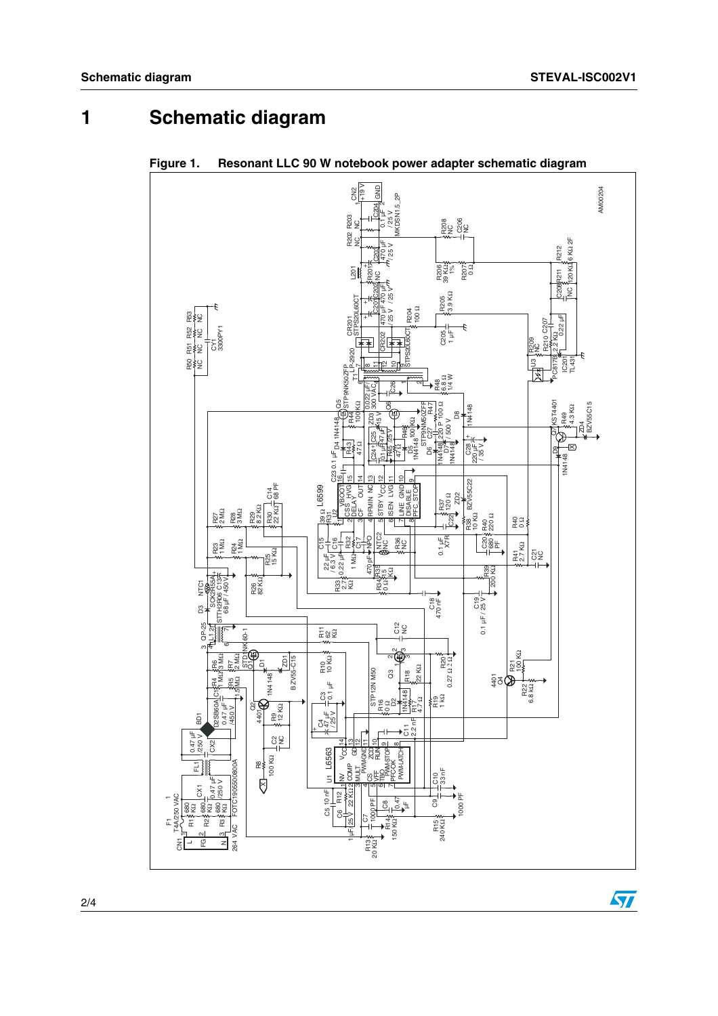## **1 Schematic diagram**



**Figure 1. Resonant LLC 90 W notebook power adapter schematic diagram**

 $\sqrt{2}$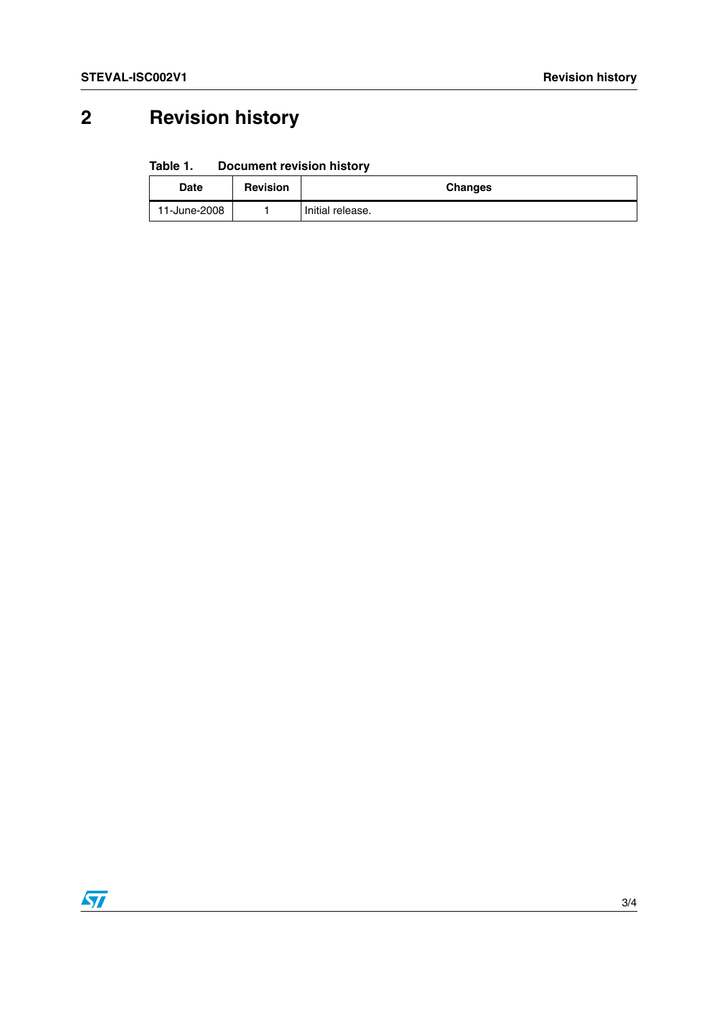# **2 Revision history**

#### Table 1. **Document revision history**

| Date         | <b>Revision</b> | <b>Changes</b>   |
|--------------|-----------------|------------------|
| 11-June-2008 |                 | Initial release. |